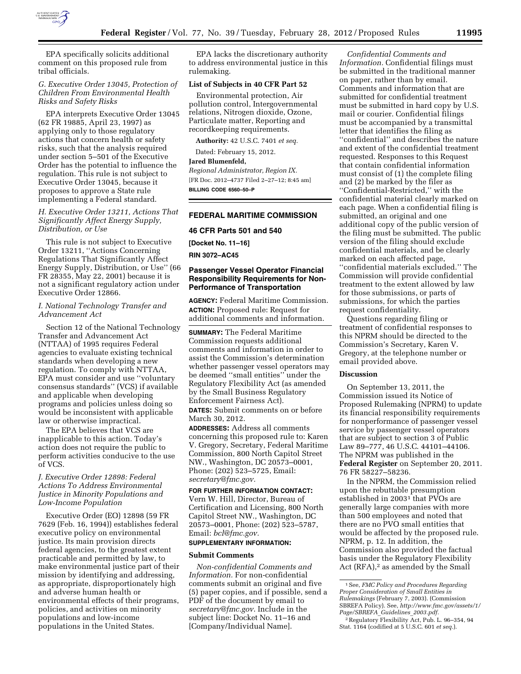

EPA specifically solicits additional comment on this proposed rule from tribal officials.

#### *G. Executive Order 13045, Protection of Children From Environmental Health Risks and Safety Risks*

EPA interprets Executive Order 13045 (62 FR 19885, April 23, 1997) as applying only to those regulatory actions that concern health or safety risks, such that the analysis required under section 5–501 of the Executive Order has the potential to influence the regulation. This rule is not subject to Executive Order 13045, because it proposes to approve a State rule implementing a Federal standard.

#### *H. Executive Order 13211, Actions That Significantly Affect Energy Supply, Distribution, or Use*

This rule is not subject to Executive Order 13211, ''Actions Concerning Regulations That Significantly Affect Energy Supply, Distribution, or Use'' (66 FR 28355, May 22, 2001) because it is not a significant regulatory action under Executive Order 12866.

# *I. National Technology Transfer and Advancement Act*

Section 12 of the National Technology Transfer and Advancement Act (NTTAA) of 1995 requires Federal agencies to evaluate existing technical standards when developing a new regulation. To comply with NTTAA, EPA must consider and use ''voluntary consensus standards'' (VCS) if available and applicable when developing programs and policies unless doing so would be inconsistent with applicable law or otherwise impractical.

The EPA believes that VCS are inapplicable to this action. Today's action does not require the public to perform activities conducive to the use of VCS.

## *J. Executive Order 12898: Federal Actions To Address Environmental Justice in Minority Populations and Low-Income Population*

Executive Order (EO) 12898 (59 FR 7629 (Feb. 16, 1994)) establishes federal executive policy on environmental justice. Its main provision directs federal agencies, to the greatest extent practicable and permitted by law, to make environmental justice part of their mission by identifying and addressing, as appropriate, disproportionately high and adverse human health or environmental effects of their programs, policies, and activities on minority populations and low-income populations in the United States.

EPA lacks the discretionary authority to address environmental justice in this rulemaking.

# **List of Subjects in 40 CFR Part 52**

Environmental protection, Air pollution control, Intergovernmental relations, Nitrogen dioxide, Ozone, Particulate matter, Reporting and recordkeeping requirements.

**Authority:** 42 U.S.C. 7401 *et seq.* 

Dated: February 15, 2012.

**Jared Blumenfeld,** 

*Regional Administrator, Region IX.*  [FR Doc. 2012–4737 Filed 2–27–12; 8:45 am] **BILLING CODE 6560–50–P** 

# **FEDERAL MARITIME COMMISSION**

#### **46 CFR Parts 501 and 540**

**[Docket No. 11–16]** 

**RIN 3072–AC45** 

# **Passenger Vessel Operator Financial Responsibility Requirements for Non-Performance of Transportation**

**AGENCY:** Federal Maritime Commission. **ACTION:** Proposed rule: Request for additional comments and information.

**SUMMARY:** The Federal Maritime Commission requests additional comments and information in order to assist the Commission's determination whether passenger vessel operators may be deemed ''small entities'' under the Regulatory Flexibility Act (as amended by the Small Business Regulatory Enforcement Fairness Act). **DATES:** Submit comments on or before March 30, 2012.

**ADDRESSES:** Address all comments concerning this proposed rule to: Karen V. Gregory, Secretary, Federal Maritime Commission, 800 North Capitol Street NW., Washington, DC 20573–0001, Phone: (202) 523–5725, Email: *[secretary@fmc.gov.](mailto:secretary@fmc.gov)* 

## **FOR FURTHER INFORMATION CONTACT:**

Vern W. Hill, Director, Bureau of Certification and Licensing, 800 North Capitol Street NW., Washington, DC 20573–0001, Phone: (202) 523–5787, Email: *[bcl@fmc.gov.](mailto:bcl@fmc.gov)* 

# **SUPPLEMENTARY INFORMATION:**

#### **Submit Comments**

*Non-confidential Comments and Information.* For non-confidential comments submit an original and five (5) paper copies, and if possible, send a PDF of the document by email to *[secretary@fmc.gov](mailto:secretary@fmc.gov)*. Include in the subject line: Docket No. 11–16 and [Company/Individual Name].

*Confidential Comments and Information.* Confidential filings must be submitted in the traditional manner on paper, rather than by email. Comments and information that are submitted for confidential treatment must be submitted in hard copy by U.S. mail or courier. Confidential filings must be accompanied by a transmittal letter that identifies the filing as ''confidential'' and describes the nature and extent of the confidential treatment requested. Responses to this Request that contain confidential information must consist of (1) the complete filing and (2) be marked by the filer as ''Confidential-Restricted,'' with the confidential material clearly marked on each page. When a confidential filing is submitted, an original and one additional copy of the public version of the filing must be submitted. The public version of the filing should exclude confidential materials, and be clearly marked on each affected page, ''confidential materials excluded.'' The Commission will provide confidential treatment to the extent allowed by law for those submissions, or parts of submissions, for which the parties request confidentiality.

Questions regarding filing or treatment of confidential responses to this NPRM should be directed to the Commission's Secretary, Karen V. Gregory, at the telephone number or email provided above.

#### **Discussion**

On September 13, 2011, the Commission issued its Notice of Proposed Rulemaking (NPRM) to update its financial responsibility requirements for nonperformance of passenger vessel service by passenger vessel operators that are subject to section 3 of Public Law 89–777, 46 U.S.C. 44101–44106. The NPRM was published in the **Federal Register** on September 20, 2011. 76 FR 58227–58236.

In the NPRM, the Commission relied upon the rebuttable presumption established in 20031 that PVOs are generally large companies with more than 500 employees and noted that there are no PVO small entities that would be affected by the proposed rule. NPRM, p. 12. In addition, the Commission also provided the factual basis under the Regulatory Flexibility Act (RFA),<sup>2</sup> as amended by the Small

<sup>1</sup>See, *FMC Policy and Procedures Regarding Proper Consideration of Small Entities in Rulemakings* (February 7, 2003). (Commission SBREFA Policy). See, *[http://www.fmc.gov/assets/1/](http://www.fmc.gov/assets/1/Page/SBREFA_Guidelines_2003.pdf)  [Page/SBREFA](http://www.fmc.gov/assets/1/Page/SBREFA_Guidelines_2003.pdf)*\_*Guidelines*\_*2003.pdf.* 

<sup>2</sup>Regulatory Flexibility Act, Pub. L. 96–354, 94 Stat. 1164 (codified at 5 U.S.C. 601 *et seq.*).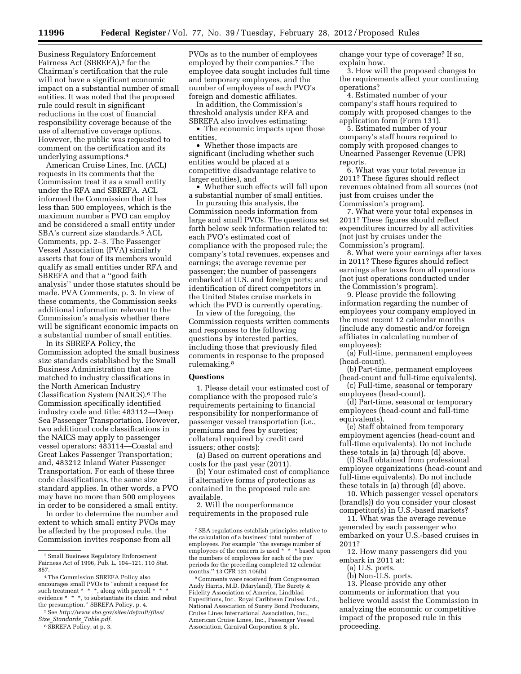Business Regulatory Enforcement Fairness Act (SBREFA),<sup>3</sup> for the Chairman's certification that the rule will not have a significant economic impact on a substantial number of small entities. It was noted that the proposed rule could result in significant reductions in the cost of financial responsibility coverage because of the use of alternative coverage options. However, the public was requested to comment on the certification and its underlying assumptions.4

American Cruise Lines, Inc. (ACL) requests in its comments that the Commission treat it as a small entity under the RFA and SBREFA. ACL informed the Commission that it has less than 500 employees, which is the maximum number a PVO can employ and be considered a small entity under SBA's current size standards.5 ACL Comments, pp. 2–3. The Passenger Vessel Association (PVA) similarly asserts that four of its members would qualify as small entities under RFA and SBREFA and that a ''good faith analysis'' under those statutes should be made. PVA Comments, p. 3. In view of these comments, the Commission seeks additional information relevant to the Commission's analysis whether there will be significant economic impacts on a substantial number of small entities.

In its SBREFA Policy, the Commission adopted the small business size standards established by the Small Business Administration that are matched to industry classifications in the North American Industry Classification System (NAICS).6 The Commission specifically identified industry code and title: 483112—Deep Sea Passenger Transportation. However, two additional code classifications in the NAICS may apply to passenger vessel operators: 483114—Coastal and Great Lakes Passenger Transportation; and, 483212 Inland Water Passenger Transportation. For each of these three code classifications, the same size standard applies. In other words, a PVO may have no more than 500 employees in order to be considered a small entity.

In order to determine the number and extent to which small entity PVOs may be affected by the proposed rule, the Commission invites response from all

PVOs as to the number of employees employed by their companies.7 The employee data sought includes full time and temporary employees, and the number of employees of each PVO's foreign and domestic affiliates.

In addition, the Commission's threshold analysis under RFA and SBREFA also involves estimating:

• The economic impacts upon those entities,

• Whether those impacts are significant (including whether such entities would be placed at a competitive disadvantage relative to larger entities), and

• Whether such effects will fall upon a substantial number of small entities.

In pursuing this analysis, the Commission needs information from large and small PVOs. The questions set forth below seek information related to: each PVO's estimated cost of compliance with the proposed rule; the company's total revenues, expenses and earnings; the average revenue per passenger; the number of passengers embarked at U.S. and foreign ports; and identification of direct competitors in the United States cruise markets in which the PVO is currently operating.

In view of the foregoing, the Commission requests written comments and responses to the following questions by interested parties, including those that previously filed comments in response to the proposed rulemaking.8

#### **Questions**

1. Please detail your estimated cost of compliance with the proposed rule's requirements pertaining to financial responsibility for nonperformance of passenger vessel transportation (i.e., premiums and fees by sureties; collateral required by credit card issuers; other costs):

(a) Based on current operations and costs for the past year (2011).

(b) Your estimated cost of compliance if alternative forms of protections as contained in the proposed rule are available.

2. Will the nonperformance requirements in the proposed rule change your type of coverage? If so, explain how.

3. How will the proposed changes to the requirements affect your continuing operations?

4. Estimated number of your company's staff hours required to comply with proposed changes to the application form (Form 131).

5. Estimated number of your company's staff hours required to comply with proposed changes to Unearned Passenger Revenue (UPR) reports.

6. What was your total revenue in 2011? These figures should reflect revenues obtained from all sources (not just from cruises under the Commission's program).

7. What were your total expenses in 2011? These figures should reflect expenditures incurred by all activities (not just by cruises under the Commission's program).

8. What were your earnings after taxes in 2011? These figures should reflect earnings after taxes from all operations (not just operations conducted under the Commission's program).

9. Please provide the following information regarding the number of employees your company employed in the most recent 12 calendar months (include any domestic and/or foreign affiliates in calculating number of employees):

(a) Full-time, permanent employees (head-count).

(b) Part-time, permanent employees (head-count and full-time equivalents).

(c) Full-time, seasonal or temporary employees (head-count).

(d) Part-time, seasonal or temporary employees (head-count and full-time equivalents).

(e) Staff obtained from temporary employment agencies (head-count and full-time equivalents). Do not include these totals in (a) through (d) above.

(f) Staff obtained from professional employee organizations (head-count and full-time equivalents). Do not include these totals in (a) through (d) above.

10. Which passenger vessel operators (brand(s)) do you consider your closest competitor(s) in U.S.-based markets?

11. What was the average revenue generated by each passenger who embarked on your U.S.-based cruises in 2011?

12. How many passengers did you embark in 2011 at:

- (a) U.S. ports.
- (b) Non-U.S. ports.

13. Please provide any other comments or information that you believe would assist the Commission in analyzing the economic or competitive impact of the proposed rule in this proceeding.

<sup>3</sup>Small Business Regulatory Enforcement Fairness Act of 1996, Pub. L. 104–121, 110 Stat. 857.

<sup>4</sup>The Commission SBREFA Policy also encourages small PVOs to ''submit a request for such treatment \* \* \*, along with payroll \* \* evidence \* \* \*, to substantiate its claim and rebut the presumption.'' SBREFA Policy, p. 4.

<sup>5</sup>See *[http://www.sba.gov/sites/default/files/](http://www.sba.gov/sites/default/files/Size_Standards_Table.pdf) Size*\_*[Standards](http://www.sba.gov/sites/default/files/Size_Standards_Table.pdf)*\_*Table.pdf.* 

<sup>6</sup>SBREFA Policy, at p. 3.

<sup>7</sup>SBA regulations establish principles relative to the calculation of a business' total number of employees. For example ''the average number of employees of the concern is used \* \* \* based upon the numbers of employees for each of the pay periods for the preceding completed 12 calendar months.'' 13 CFR 121.106(b).

<sup>8</sup>Comments were received from Congressman Andy Harris, M.D. (Maryland), The Surety & Fidelity Association of America, Lindblad Expeditions, Inc., Royal Caribbean Cruises Ltd., National Association of Surety Bond Producers, Cruise Lines International Association, Inc., American Cruise Lines, Inc., Passenger Vessel Association, Carnival Corporation & plc.